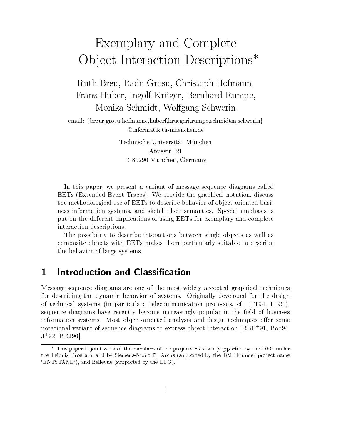# Exemplary and Complete Object Interaction Descriptions<sup>\*</sup>

avere — christophe Mars Christoph Hofmann-Christoph Hofmann-Christoph Hofmann-Christoph Hofmann-Christophe Hof a a waar aa why ya , aang yaa a aa wig ya , as yaanaysa ya a yo yaan y yi . monika Schwering-Schwering-Schwering-Schwering-Schwering-Schwering-Schwering-Schwering-Schwering-Schwering-Schwering-

email: {breur,grosu,hofmannc,huberf,kruegeri,rumpe,schmidtm,schwerin} @informatik.tu-muenchen.de

D M-unchen Germany

In this paper we present a variant of message sequence diagrams called EETs Extended Event Traces We provide the graphical notation discuss the methodological use of EETs to describe behavior of object-oriented busiand and semi-resolution systems in the semantic semantic semantics supported the process  $\mathcal{L}$ put on the different implications of using EETs for exemplary and complete interaction descriptions

The possibility to describe interactions between single objects as well as composite ob jects with EETs makes them particularly suitable to describe the behavior of large systems

Message sequence diagrams are one of the most widely accepted graphical techniques for describing the dynamic behavior of systems. Originally developed for the design of technical systems in particular telecommunication protocols cf IT IT  sequence diagrams have recently become increasingly popular in the field of business information systems. Most object-oriented analysis and design techniques offer some notational variant of sequence diagrams to express object interaction  $|RBF|$  91, Boo94,  $J$   $32$ , DRJ $30$ ].



This paper is joint work of the members of the pro jects SysLab -supported by the DFG under the Leibniz Program and by Siemens - Arcus - Architectic Architecture pro include program and products and pro  $\mathcal{L}$  . The DFG denotes the DFG denotes by the DFG denotes  $\mathcal{L}$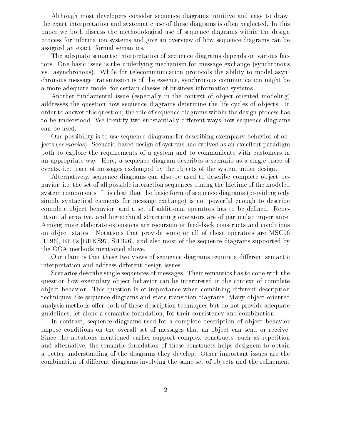Although most developers consider sequence diagrams intuitive and easy to draw the exact interpretation and systematic use of these diagrams is often neglected. In this paper we both discuss the methodological use of sequence diagrams within the design process for information systems and give an overview of how sequence diagrams can be assigned and the contract of the contract of the contract of the contract of the contract of the contract of the contract of the contract of the contract of the contract of the contract of the contract of the contract of t

The adequate semantic interpretation of sequence diagrams depends on various fac tors. One basic issue is the underlying mechanism for message exchange (synchronous vs. asynchronous). While for telecommunication protocols the ability to model asynchronous message transmission is of the essence synchronous communication might be a more adequate model for certain classes of business information systems

Another fundamental issue (especially in the context of object-oriented modeling) addresses the question how sequence diagrams determine the life cycles of objects. In order to answer this question  $\mathbf{t}$  answer the design process has a sequence diagrams with  $\mathbf{t}$ to be understood. We identify two substantially different ways how sequence diagrams can be used

One possibility is to use sequence diagrams for describing exemplary behavior of ob jects *(scenarios)*. Scenario-based design of systems has evolved as an excellent paradigm both to explore the requirements of a system and to communicate with customers in an appropriate way Here a sequence diagram describes a scenario as a single trace of events ie trace of messages exchanged by the objects of the system under design

Alternatively sequence diagrams can also be used to describe complete object be havior ie the set of all possible interaction sequences during the lifetime of the modeled system components. It is clear that the basic form of sequence diagrams (providing only simple syntactical elements for message exchange is not powerful enough to describe complete ob ject behavior and a set of additional operators has to be dened Repe tition alternative and hierarchical structuring operators are of particular importance Among more elaborate extensions are recursion or feed-back constructs and conditions on object states. Notations that provide some or all of these operators are MSC96 It is a sequence of the sequence of the sequence diagrams supported by  $\mathcal{S}$  , and  $\mathcal{S}$ the OOA methods mentioned above

Our claim is that these two views of sequence diagrams require a different semantic interpretation and address different design issues.

Scenarios describe single sequences of messages Their semantics has to cope with the question how exemplary object behavior can be interpreted in the context of complete object behavior. This question is of importance when combining different description techniques like sequence diagrams and state transition diagrams. Many object-oriented analysis methods offer both of these description techniques but do not provide adequate  $\mathbf{f}$ 

In contrast sequence diagrams used for a complete description of ob ject behavior impose conditions on the overall set of messages that an object can send or receive. Since the notations mentioned earlier support complex constructs such as repetition and alternative  $\mathbf{f}$ a better understanding of the diagrams they develop. Other important issues are the combination of different diagrams involving the same set of objects and the refinement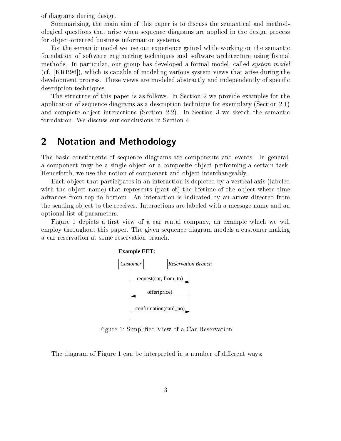of diagrams during design

summarizing, the mainless the semant is to discuss the semantical and methods the semantical and methods of ological questions that arise when sequence diagrams are applied in the design process for object-oriented business information systems.

For the semantic model we use our experience gained while working on the semantic foundation of software engineering techniques and software architecture using formal methods In particular our group has developed a formal model called system model character is capable of modeling various system views that are the common views that are the common views that development process. These views are modeled abstractly and independently of specific description techniques

The structure of this paper is as follows. In Section 2 we provide examples for the application of sequence diagrams as a description technique for exemplary (Section  $2.1$ ) and complete object interactions (Section 2.2). In Section 3 we sketch the semantic foundation. We discuss our conclusions in Section 4.

#### $\overline{2}$ Notation and Methodology

The basic constituents of sequence diagrams are components and events. In general, a component may be a single object or a composite object performing a certain task. Henceforth we use the notion of component and ob ject interchangeably

Each object that participates in an interaction is depicted by a vertical axis (labeled with the object name) that represents (part of) the lifetime of the object where time advances from top to bottom. An interaction is indicated by an arrow directed from the sending object to the receiver. Interactions are labeled with a message name and an optional list of parameters

Figure depicts a rst view of a car rental company an example which we will employ throughout this paper. The given sequence diagram models a customer making a car reservation at some reservation branch



Figure 1: Simplified View of a Car Reservation

The diagram of Figure 1 can be interpreted in a number of different ways: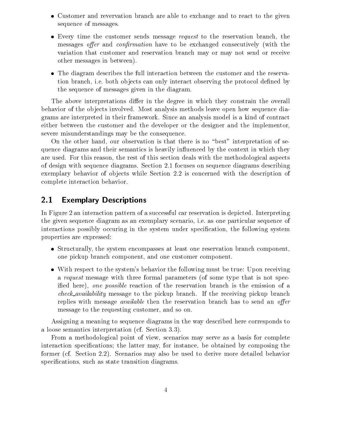- Customer and revervation branch are able to exchange and to react to the given sequence of messages
- Every time the customer sends message request to the reservation branch the messages o-er and conrmation have to be exchanged consecutively with the variation that customer and reservation branch may or may not send or receive other messages in between
- The diagram describes the full interaction between the customer and the reserva tion branch is both observing the protocol density of the protocol density of the protocol density of the protocol density of the protocol density of the protocol density of the protocol density of the protocol density of the sequence of messages given in the diagram

The above interpretations differ in the degree in which they constrain the overall behavior of the objects involved. Most analysis methods leave open how sequence diagrams are interpreted in their framework Since an analysis model is a kind of contract either between the customer and the developer or the designer and the implementor severe misunderstandings may be the consequence

On the other hand our observation is that there is no best interpretation of se quence diagrams and their semantics is heavily influenced by the context in which they are the rest of the reason the rest of the rest of the methodological aspects with the methodological aspects of design with sequence diagrams. Section 2.1 focuses on sequence diagrams describing exemplary behavior of objects while Section 2.2 is concerned with the description of complete interaction behavior

### Exemplary Descriptions

In Figure 2 an interaction pattern of a successful car reservation is depicted. Interpreting the given sequence diagram as an exemplary scenario ie as one particular sequence of interactions possibly occuring in the system under specication the following system properties are expressed

- Structurally the system encompasses at least one reservation branch component one pickup branch component and one customer component
- With respect to the systems behavior the following must be true Upon receiving a request message with three formal parameters (of some type that is not specied here one possible reaction of the reservation branch is the emission of a check availability message to the pickup branch. If the receiving pickup branch replies with message available then the reservation branch has to send an o-er message to the requesting customer and so on

Assigning a meaning to sequence diagrams in the way described here corresponds to a loose semantics interpretation (cf. Section  $3.3$ ).

From a methodological point of view scenarios may serve as a basis for complete interaction specications the latter may for instance be obtained by composing the former (cf. Section 2.2). Scenarios may also be used to derive more detailed behavior species asstronomy such asstronomy assistant transition diagrams as a such a such as  $\mathcal{A}$  associated as a such a such a such as a such a such a such a such a such a such a such a such a such a such a such a such a such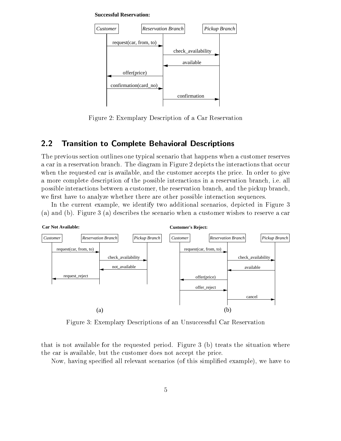#### **Successful Reservation:**



Figure Exemplary Description of a Car Reservation

### Transition to Complete Behavioral Descriptions

The previous section outlines one typical scenario that happens when a customer reserves a car in a reservation branch. The diagram in Figure 2 depicts the interactions that occur when the requestion can be customer and the customer accepts the customer process the customer accepts the price a more complete description of the possible interactions in a reservation branch ie all possible interactions between a customers branch and the pickup branch branch branch branch branch and the pick we first have to analyze whether there are other possible interaction sequences.

an the current examples of currently two distinctions additions of the protocol scenarios  $\mathcal{A}$  and  $\mathcal{A}$ (a) and (b). Figure 3 (a) describes the scenario when a customer wishes to reserve a car



Figure Exemplary Descriptions of an Unsuccessful Car Reservation

that is not available for the requested period. Figure  $3$  (b) treats the situation where the case of the contract of the contract the customer does not all  $\mu$  the prices.

Now having specied all relevant scenarios of this simplied example we have to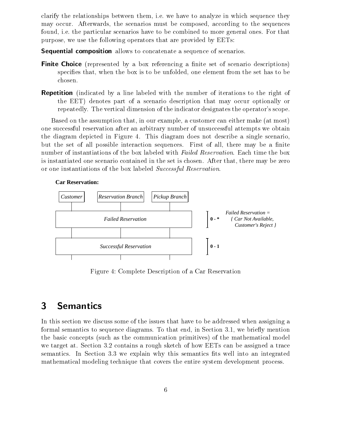relative to analyze the relationships between the main to analyze in which sequence they where they are the sequence may occur afterwards must be composed must be composed to the sequences and sequences found ie the particular scenarios have to be combined to more general ones For that purpose we use the following operators that are provided by EETs

**Sequential composition** allows to concatenate a sequence of scenarios.

- **Finite Choice** (represented by a box referencing a finite set of scenario descriptions) species that when the box is to be unfolded one element from the set has to be chosen
- **Repetition** (indicated by a line labeled with the number of iterations to the right of the EET denotes part of a scenario description that may occur optionally or repeatedly. The vertical dimension of the indicator designates the operator's scope.

a customer can example that that is no that the contemplate of the cancel that the canceled part make  $\eta$ one successful reservation after an arbitrary number of unsuccessful attempts we obtain the diagram depicted in Figure 4. This diagram does not describe a single scenario, but the set of all possible interaction sequences First of all there may be a nite number of instantiations of the box labeled with Failed Reservation. Each time the box is instantiated one scenario contained in the set is chosen After that there may be zero or one instantiations of the box labeled Successful Reservation.

### **Car Reservation:**



Figure 4: Complete Description of a Car Reservation

#### $\overline{3}$ **Semantics**

In this section we discuss some of the issues that have to be addressed when assigning a for the semantics to see the semantics to sequence diagrams To that end of the section  $\mathbf{M}$ the basic concepts (such as the communication primitives) of the mathematical model we target at. Section 3.2 contains a rough sketch of how EETs can be assigned a trace semantics. In Section 3.3 we explain why this semantics fits well into an integrated mathematical modeling technique that covers the entire system development process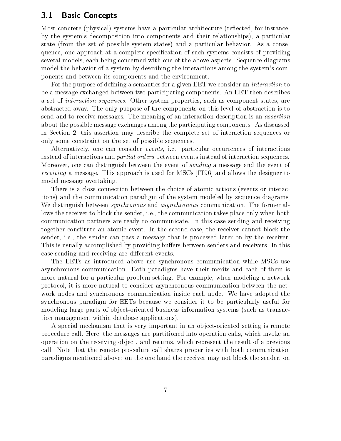### Basic Concepts

Most concrete physical systems have a particular architecture reected for instance by the systems decomposition into components and their relationships a particular state (from the set of possible system states) and a particular behavior. As a consequences one approach at a complete specific specific states systems consists of providing  $\rho$ several models each being concerned with one of the above aspects Sequence diagrams model the behavior of a system by describing the interactions among the system's components and between its components and the environment

For the purpose of defining a semantics for a given EET we consider an *interaction* to be a message exchanged between two participating components An EET then describes a set of interaction sequences. Other systems properties shows in component states where we abstracted away The only purpose of the components on this level of abstraction is to send and to receive messages The meaning of an interaction description is an assertion about the possible message exchanges among the participating components. As discussed in section at this assertion may describe the complete set of interaction sequences or  $\eta$  assertion set or only some constraint on the set of possible sequences

Alternatively one can consider events ie particular occurrences of interactions instead of interactions and *partial orders* between events instead of interaction sequences. Moreover one can distinguish between the event of sending a message and the event of *receiving* a message. This approach is used for MSCs  $[IT96]$  and allows the designer to model message overtaking

There is a close connection between the choice of atomic actions (events or interactions) and the communication paradigm of the system modeled by sequence diagrams. We distinguish between *synchronous* and *asynchronous* communication. The former allows the receiver to block the sender ie the communication takes place only when both communication partners are ready to communicate In this case sending and receiving to the receiver  $t$  the second case is the second case in the second case is the second case in the second case is the second case in the second case is the second case in the second case is the second case in the second sender can pass a message that is processed a message that is processed and an all the receiver. This is usually accomplished by providing buffers between senders and receivers. In this case sending and receiving are different events.

The EETs as introduced above use synchronous communication while MSCs use asynchronous communication. Both paradigms have their merits and each of them is more natural for a particular problem setting For example when modeling a network protocol it is more natural to consider asynchronous communication between the net work nodes and synchronous communication inside each node. We have adopted the synchronous paradigm for EETs because we consider it to be particularly useful for modeling large parts of object-oriented business information systems (such as transaction management within database applications

A special mechanism that is very important in an object-oriented setting is remote procedure call Here the messages are partitioned into operation calls which invoke an operation on the receiving object, which receiving outputs the result of a previous of a present call. Note that the remote procedure call shares properties with both communication paradigms mentioned above on the one hand the receiver may not be receiver may not be received the sender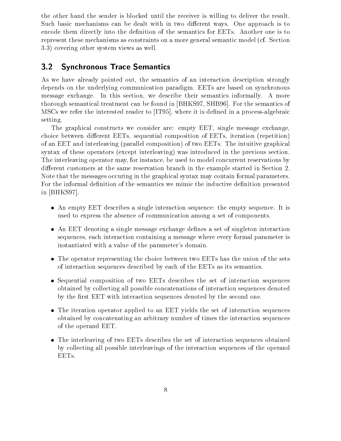the other hand the sender is blocked until the receiver is willing to deliver the result Such basic mechanisms can be dealt with in two different ways. One approach is to encode them directly into the definition of the semantics for EETs. Another one is to represent these mechanisms as constraints on a more general semantic model (cf. Section 3.3) covering other system views as well.

### Synchronous Trace Semantics

as we have already pointed out; the semantics of an interaction description strongly depends on the underlying communication paradigm. EETs are based on synchronous message internation in the section is section to the section in the semantics informally a more than  $\sim$ those semantical treatment can be found in BHKS  $\mathbf{H}$ med to it the it is denoted an each order to IT the it is denoted to a process it is denoted in a processe. setting

The graphical constructs we consider are empty EET single message exchange choice between di
erent EETs sequential composition of EETs iteration repetition of an EET and interleaving (parallel composition) of two EETs. The intuitive graphical syntax of these operators (except interleaving) was introduced in the previous section. The interleaving operator may for instance be used to model concurrent reservations by different customers at the same reservation branch in the example started in Section 2. Note that the messages occuring in the graphical syntax may contain formal parameters For the informal definition of the semantics we mimic the inductive definition presented in [BHKS97].

- An empty EET describes a single interaction sequence the empty sequence It is used to express the absence of communication among a set of components
- An EET denoting a single message exchange denes a set of singleton interaction sequences interaction containing a message where every formal parameter is a message where every formal parameter is instantiated with a value of the parameter's domain.
- The operator representing the choice between two EETs has the union of the sets of interaction sequences described by each of the EETs as its semantics
- Sequential composition of two EETs describes the set of interaction sequences obtained by collecting all possible concatenations of interaction sequences denoted by the first EET with interaction sequences denoted by the second one.
- The iteration operator applied to an EET yields the set of interaction sequences obtained by concatenating an arbitrary number of times the interaction sequences of the operand EET
- The interleaving of two EETs describes the set of interaction sequences obtained by collecting all possible interleavings of the interaction sequences of the operand EETs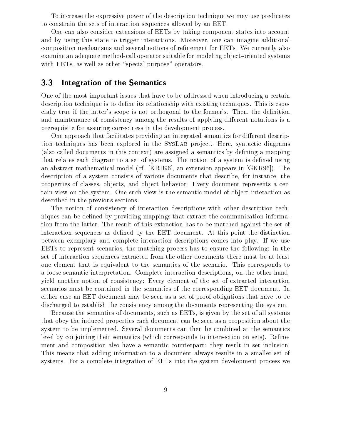To increase the expressive power of the description technique we may use predicates to constrain the sets of interaction sequences allowed by an EET

One can also consider extensions of EETs by taking component states into account and by using this state to trigger interactions  $\mathbf{M}$ composition mechanisms and several notions of refinement for EETs. We currently also examine an adequate method-call operator suitable for modeling object-oriented systems with EETs as well as well as well as well as well as well as well as well as well as other special purpose operators are purposed in the contract of the contract of the contract of the contract of the contract of the contr

#### -Integration of the Semantics

One of the most important issues that have to be addressed when introducing a certain description technique is to define its relationship with existing techniques. This is especially true ifthe latters scope is not orthogonal to the formers Then the denition and maintenance of consistency among the results of applying different notations is a prerequisite for assuring correctness in the development process

One approach that facilitates providing an integrated semantics for different description techniques has been explored in the SysLab project Here syntactic diagrams (also called documents in this context) are assigned a semantics by defining a mapping that relates each diagram to a set of systems. The notion of a system is defined using and abstract model characterization model calls in the characterization of  $\mu$  and the straight of the straight description of a system consists of various documents that describe for instance the properties of classes ob jects and object behavior Every document represents a cer tain view on the system. One such view is the semantic model of object interaction as described in the previous sections

The notion of consistency of interaction descriptions with other description tech niques can be defined by providing mappings that extract the communication information from the latter. The result of this extraction has to be matched against the set of interaction sequences as defined by the EET document. At this point the distinction between exemplary and complete interaction descriptions comes into play If we use EETs to represent scenarios the matching process has to ensure the following in the set of interaction sequences extracted from the other documents there must be at least one element that is equivalent to the semantics of the scenario This corresponds to a loose semantic interpretation Complete interaction descriptions on the other hand yield another notion of consistency: Every element of the set of extracted interaction scenarios must be contained in the semantics of the corresponding EET document. In either case an EET document may be seen as a set of proof obligations that have to be discharged to establish the consistency among the documents representing the system

such as EETs of documents of documents in the set of the set of all systems in the set of all systems in the s that obey the induced properties each document can be seen as a proposition about the system to be implemented. Several documents can then be combined at the semantics level by conjoining their semantics (which corresponds to intersection on sets). Refinement and composition also have a semantic counterpart: they result in set inclusion. This means that adding information to a document always results in a smaller set of systems. For a complete integration of EETs into the system development process we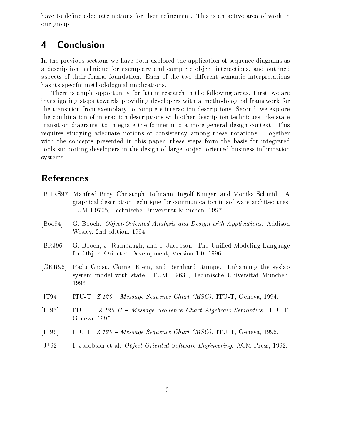have to define adequate notions for their refinement. This is an active area of work in our group

#### $\overline{\mathbf{4}}$ **Conclusion**

In the previous sections we have both explored the application of sequence diagrams as a description technique for exemplary and complete objects in provided the complete object in the complete of aspects of their formal foundation. Each of the two different semantic interpretations has its specific methodological implications.

There is ample opportunity for future research in the following areas First we are investigating steps towards providing developers with a methodological framework for the transition from exemplary to complete interaction descriptions Second we explore the combination of interaction descriptions with other description techniques like state  $t_1$  integrate the former integrate the former integrate the former into a more general design context This context This context This context This context This context This context This context This context This context requires studying adequate notions of consistency among these notations Together with the concepts presented in this paper is paper for integrated in the basis form the basis form the basis for tools supporting developers in the design of large ob jectoriented business information systems

## References

- BHKS Manfred Broy Christoph Hofmann Ingolf Kr-uger and Monika Schmidt A graphical description technique for communication in software architectures Tumi at M-Universite Universitet at M-Universite Universite at M-Universite and M-Universite at M-Universite a
- [Boo94] G. Booch. *Object-Oriented Analysis and Design with Applications.* Addison where the contract of the contract of the contract of the contract of the contract of the contract of the contract of the contract of the contract of the contract of the contract of the contract of the contract of the cont
- $\mathbf{B} = \mathbf{B}$  , and  $\mathbf{B} = \mathbf{B}$  and  $\mathbf{B} = \mathbf{B}$  is a subsolution  $\mathbf{B} = \mathbf{B}$  . The United Modeling Language is a substitute of  $\mathbf{B}$  and  $\mathbf{B}$ for Ob jectOriented Development Version
- gkroset Grosett Rumpe Enhancing the system and Bernhard Rumpe Enhancing the system and system and system and s system model with state Tumi I at M- of Organ, at M-M-M- of the State University of the University 1996.
- IT ITU ITU SERVA SERVA SERVA MARAHITI DINANG ITUTI ITU SERVANG SERVANG SERVA
- $[1T95]$  ITU-T. Z.120 B Message Sequence Chart Algebraic Semantics. ITU-T. Geneva Geneva Service Service Service Service Service Service Service Service Service Service Service Service
- Itut Z Itut Z Itut Z Itut Z Itut Z Itut Z Itut Z Itut Z Itu Z Itu Z Itu Z Itu Z Itu Z Itu Z Itu Z Itu Z Itu Z
- $[J+92]$  I Jacobson et al ObjectOriented Software Engineering ACM Press